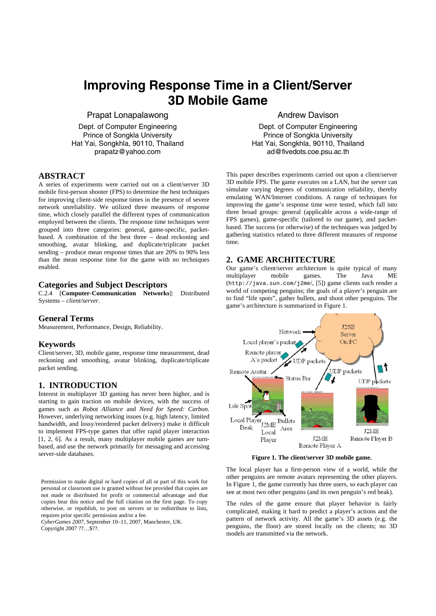# **Improving Response Time in a Client/Server 3D Mobile Game**

Prapat Lonapalawong

Dept. of Computer Engineering Prince of Songkla University Hat Yai, Songkhla, 90110, Thailand prapatz@yahoo.com

# **ABSTRACT**

A series of experiments were carried out on a client/server 3D mobile first-person shooter (FPS) to determine the best techniques for improving client-side response times in the presence of severe network unreliability. We utilized three measures of response time, which closely parallel the different types of communication employed between the clients. The response time techniques were grouped into three categories: general, game-specific, packetbased. A combination of the best three – dead reckoning and smoothing, avatar blinking, and duplicate/triplicate packet sending – produce mean response times that are 20% to 90% less than the mean response time for the game with no techniques enabled.

# **Categories and Subject Descriptors**

C.2.4 [**Computer-Communication Networks**]: Distributed Systems – *client/server.* 

#### **General Terms**

Measurement, Performance, Design, Reliability.

#### **Keywords**

Client/server, 3D, mobile game, response time measurement, dead reckoning and smoothing, avatar blinking, duplicate/triplicate packet sending.

#### **1. INTRODUCTION**

Interest in multiplayer 3D gaming has never been higher, and is starting to gain traction on mobile devices, with the success of games such as *Robot Alliance* and *Need for Speed: Carbon*. However, underlying networking issues (e.g. high latency, limited bandwidth, and lossy/reordered packet delivery) make it difficult to implement FPS-type games that offer rapid player interaction [1, 2, 6]. As a result, many multiplayer mobile games are turnbased, and use the network primarily for messaging and accessing server-side databases.

Permission to make digital or hard copies of all or part of this work for personal or classroom use is granted without fee provided that copies are not made or distributed for profit or commercial advantage and that copies bear this notice and the full citation on the first page. To copy otherwise, or republish, to post on servers or to redistribute to lists, requires prior specific permission and/or a fee.

*CyberGames 2007*, September 10–11, 2007, Manchester, UK. Copyright 2007 ??…\$??.

#### Andrew Davison

Dept. of Computer Engineering Prince of Songkla University Hat Yai, Songkhla, 90110, Thailand ad@fivedots.coe.psu.ac.th

This paper describes experiments carried out upon a client/server 3D mobile FPS. The game executes on a LAN, but the server can simulate varying degrees of communication reliability, thereby emulating WAN/Internet conditions. A range of techniques for improving the game's response time were tested, which fall into three broad groups: general (applicable across a wide-range of FPS games), game-specific (tailored to our game), and packetbased. The success (or otherwise) of the techniques was judged by gathering statistics related to three different measures of response time.

## **2. GAME ARCHITECTURE**

Our game's client/server architecture is quite typical of many multiplayer mobile games. The Java ME multiplayer (http://java.sun.com/j2me/, [5]) game clients each render a world of competing penguins; the goals of a player's penguin are to find "life spots", gather bullets, and shoot other penguins. The game's architecture is summarized in Figure 1.



**Figure 1. The client/server 3D mobile game.** 

The local player has a first-person view of a world, while the other penguins are remote avatars representing the other players. In Figure 1, the game currently has three users, so each player can see at most two other penguins (and its own penguin's red beak).

The rules of the game ensure that player behavior is fairly complicated, making it hard to predict a player's actions and the pattern of network activity. All the game's 3D assets (e.g. the penguins, the floor) are stored locally on the clients; no 3D models are transmitted via the network.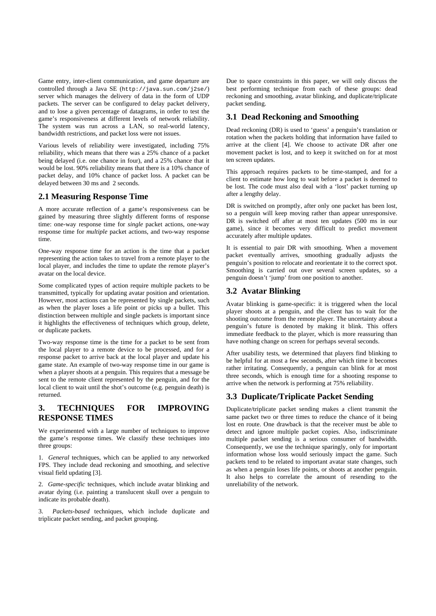Game entry, inter-client communication, and game departure are controlled through a Java SE (http://java.sun.com/j2se/) server which manages the delivery of data in the form of UDP packets. The server can be configured to delay packet delivery, and to lose a given percentage of datagrams, in order to test the game's responsiveness at different levels of network reliability. The system was run across a LAN, so real-world latency, bandwidth restrictions, and packet loss were not issues.

Various levels of reliability were investigated, including 75% reliability, which means that there was a 25% chance of a packet being delayed (i.e. one chance in four), and a 25% chance that it would be lost. 90% reliability means that there is a 10% chance of packet delay, and 10% chance of packet loss. A packet can be delayed between 30 ms and 2 seconds.

#### **2.1 Measuring Response Time**

A more accurate reflection of a game's responsiveness can be gained by measuring three slightly different forms of response time: one-way response time for *single* packet actions, one-way response time for *multiple* packet actions, and two-way response time.

One-way response time for an action is the time that a packet representing the action takes to travel from a remote player to the local player, and includes the time to update the remote player's avatar on the local device.

Some complicated types of action require multiple packets to be transmitted, typically for updating avatar position and orientation. However, most actions can be represented by single packets, such as when the player loses a life point or picks up a bullet. This distinction between multiple and single packets is important since it highlights the effectiveness of techniques which group, delete, or duplicate packets.

Two-way response time is the time for a packet to be sent from the local player to a remote device to be processed, and for a response packet to arrive back at the local player and update his game state. An example of two-way response time in our game is when a player shoots at a penguin. This requires that a message be sent to the remote client represented by the penguin, and for the local client to wait until the shot's outcome (e.g. penguin death) is returned.

# **3. TECHNIQUES FOR IMPROVING RESPONSE TIMES**

We experimented with a large number of techniques to improve the game's response times. We classify these techniques into three groups:

1. *General* techniques, which can be applied to any networked FPS. They include dead reckoning and smoothing, and selective visual field updating [3].

2. *Game-specific* techniques, which include avatar blinking and avatar dying (i.e. painting a translucent skull over a penguin to indicate its probable death).

3. *Packets-based* techniques, which include duplicate and triplicate packet sending, and packet grouping.

Due to space constraints in this paper, we will only discuss the best performing technique from each of these groups: dead reckoning and smoothing, avatar blinking, and duplicate/triplicate packet sending.

## **3.1 Dead Reckoning and Smoothing**

Dead reckoning (DR) is used to 'guess' a penguin's translation or rotation when the packets holding that information have failed to arrive at the client [4]. We choose to activate DR after one movement packet is lost, and to keep it switched on for at most ten screen updates.

This approach requires packets to be time-stamped, and for a client to estimate how long to wait before a packet is deemed to be lost. The code must also deal with a 'lost' packet turning up after a lengthy delay.

DR is switched on promptly, after only one packet has been lost. so a penguin will keep moving rather than appear unresponsive. DR is switched off after at most ten updates (500 ms in our game), since it becomes very difficult to predict movement accurately after multiple updates.

It is essential to pair DR with smoothing. When a movement packet eventually arrives, smoothing gradually adjusts the penguin's position to relocate and reorientate it to the correct spot. Smoothing is carried out over several screen updates, so a penguin doesn't 'jump' from one position to another.

# **3.2 Avatar Blinking**

Avatar blinking is game-specific: it is triggered when the local player shoots at a penguin, and the client has to wait for the shooting outcome from the remote player. The uncertainty about a penguin's future is denoted by making it blink. This offers immediate feedback to the player, which is more reassuring than have nothing change on screen for perhaps several seconds.

After usability tests, we determined that players find blinking to be helpful for at most a few seconds, after which time it becomes rather irritating. Consequently, a penguin can blink for at most three seconds, which is enough time for a shooting response to arrive when the network is performing at 75% reliability.

# **3.3 Duplicate/Triplicate Packet Sending**

Duplicate/triplicate packet sending makes a client transmit the same packet two or three times to reduce the chance of it being lost en route. One drawback is that the receiver must be able to detect and ignore multiple packet copies. Also, indiscriminate multiple packet sending is a serious consumer of bandwidth. Consequently, we use the technique sparingly, only for important information whose loss would seriously impact the game. Such packets tend to be related to important avatar state changes, such as when a penguin loses life points, or shoots at another penguin. It also helps to correlate the amount of resending to the unreliability of the network.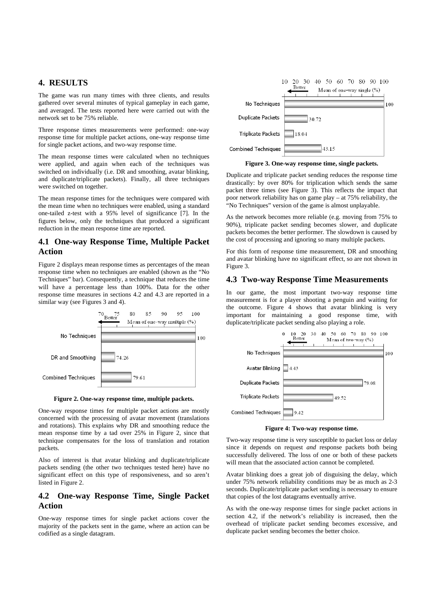# **4. RESULTS**

The game was run many times with three clients, and results gathered over several minutes of typical gameplay in each game, and averaged. The tests reported here were carried out with the network set to be 75% reliable.

Three response times measurements were performed: one-way response time for multiple packet actions, one-way response time for single packet actions, and two-way response time.

The mean response times were calculated when no techniques were applied, and again when each of the techniques was switched on individually (i.e. DR and smoothing, avatar blinking, and duplicate/triplicate packets). Finally, all three techniques were switched on together.

The mean response times for the techniques were compared with the mean time when no techniques were enabled, using a standard one-tailed z-test with a 95% level of significance [7]. In the figures below, only the techniques that produced a significant reduction in the mean response time are reported.

## **4.1 One-way Response Time, Multiple Packet Action**

Figure 2 displays mean response times as percentages of the mean response time when no techniques are enabled (shown as the "No Techniques" bar). Consequently, a technique that reduces the time will have a percentage less than 100%. Data for the other response time measures in sections 4.2 and 4.3 are reported in a similar way (see Figures 3 and 4).



**Figure 2. One-way response time, multiple packets.** 

One-way response times for multiple packet actions are mostly concerned with the processing of avatar movement (translations and rotations). This explains why DR and smoothing reduce the mean response time by a tad over 25% in Figure 2, since that technique compensates for the loss of translation and rotation packets.

Also of interest is that avatar blinking and duplicate/triplicate packets sending (the other two techniques tested here) have no significant effect on this type of responsiveness, and so aren't listed in Figure 2.

# **4.2 One-way Response Time, Single Packet Action**

One-way response times for single packet actions cover the majority of the packets sent in the game, where an action can be codified as a single datagram.



**Figure 3. One-way response time, single packets.** 

Duplicate and triplicate packet sending reduces the response time drastically: by over 80% for triplication which sends the same packet three times (see Figure 3). This reflects the impact that poor network reliability has on game play – at 75% reliability, the "No Techniques" version of the game is almost unplayable.

As the network becomes more reliable (e.g. moving from 75% to 90%), triplicate packet sending becomes slower, and duplicate packets becomes the better performer. The slowdown is caused by the cost of processing and ignoring so many multiple packets.

For this form of response time measurement, DR and smoothing and avatar blinking have no significant effect, so are not shown in Figure 3.

#### **4.3 Two-way Response Time Measurements**

In our game, the most important two-way response time measurement is for a player shooting a penguin and waiting for the outcome. Figure 4 shows that avatar blinking is very important for maintaining a good response time, with duplicate/triplicate packet sending also playing a role.



**Figure 4: Two-way response time.** 

Two-way response time is very susceptible to packet loss or delay since it depends on request *and* response packets both being successfully delivered. The loss of one or both of these packets will mean that the associated action cannot be completed.

Avatar blinking does a great job of disguising the delay, which under 75% network reliability conditions may be as much as 2-3 seconds. Duplicate/triplicate packet sending is necessary to ensure that copies of the lost datagrams eventually arrive.

As with the one-way response times for single packet actions in section 4.2, if the network's reliability is increased, then the overhead of triplicate packet sending becomes excessive, and duplicate packet sending becomes the better choice.